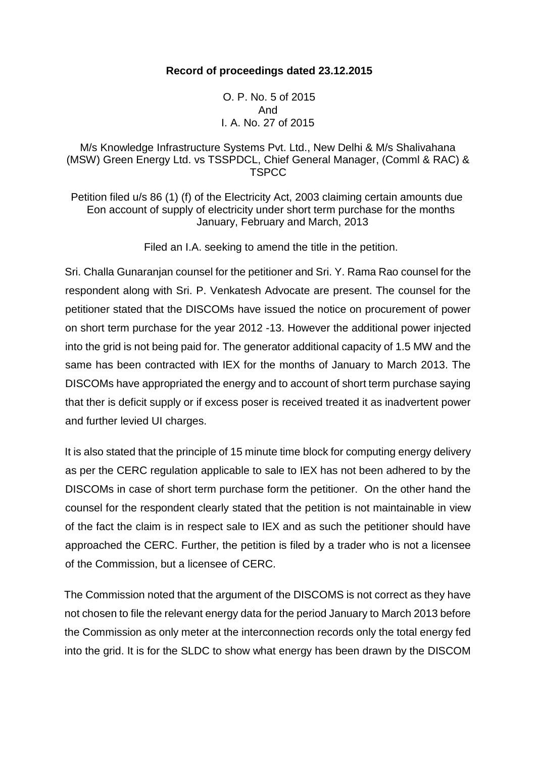#### **Record of proceedings dated 23.12.2015**

O. P. No. 5 of 2015 And I. A. No. 27 of 2015

## M/s Knowledge Infrastructure Systems Pvt. Ltd., New Delhi & M/s Shalivahana (MSW) Green Energy Ltd. vs TSSPDCL, Chief General Manager, (Comml & RAC) & **TSPCC**

Petition filed u/s 86 (1) (f) of the Electricity Act, 2003 claiming certain amounts due Eon account of supply of electricity under short term purchase for the months January, February and March, 2013

Filed an I.A. seeking to amend the title in the petition.

Sri. Challa Gunaranjan counsel for the petitioner and Sri. Y. Rama Rao counsel for the respondent along with Sri. P. Venkatesh Advocate are present. The counsel for the petitioner stated that the DISCOMs have issued the notice on procurement of power on short term purchase for the year 2012 -13. However the additional power injected into the grid is not being paid for. The generator additional capacity of 1.5 MW and the same has been contracted with IEX for the months of January to March 2013. The DISCOMs have appropriated the energy and to account of short term purchase saying that ther is deficit supply or if excess poser is received treated it as inadvertent power and further levied UI charges.

It is also stated that the principle of 15 minute time block for computing energy delivery as per the CERC regulation applicable to sale to IEX has not been adhered to by the DISCOMs in case of short term purchase form the petitioner. On the other hand the counsel for the respondent clearly stated that the petition is not maintainable in view of the fact the claim is in respect sale to IEX and as such the petitioner should have approached the CERC. Further, the petition is filed by a trader who is not a licensee of the Commission, but a licensee of CERC.

The Commission noted that the argument of the DISCOMS is not correct as they have not chosen to file the relevant energy data for the period January to March 2013 before the Commission as only meter at the interconnection records only the total energy fed into the grid. It is for the SLDC to show what energy has been drawn by the DISCOM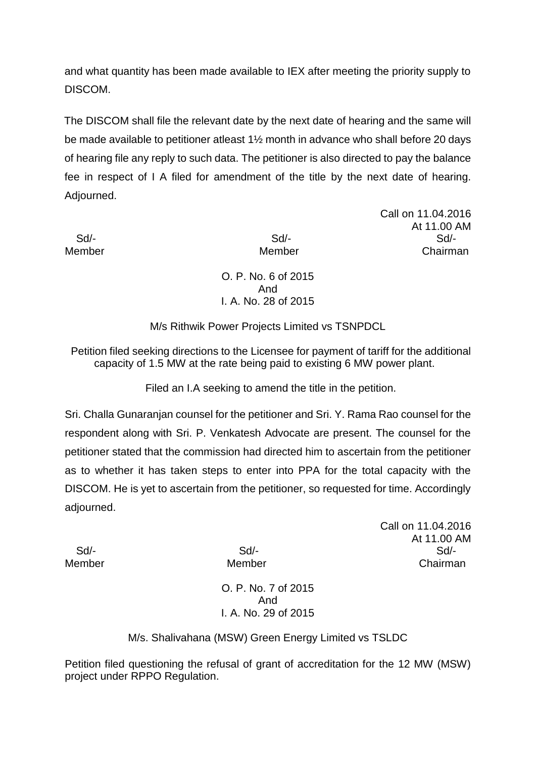and what quantity has been made available to IEX after meeting the priority supply to DISCOM.

The DISCOM shall file the relevant date by the next date of hearing and the same will be made available to petitioner atleast 1½ month in advance who shall before 20 days of hearing file any reply to such data. The petitioner is also directed to pay the balance fee in respect of I A filed for amendment of the title by the next date of hearing. Adjourned.

Call on 11.04.2016 At 11.00 AM Sd/- Sd/- Sd/- Member **Member** Chairman

> O. P. No. 6 of 2015 And I. A. No. 28 of 2015

M/s Rithwik Power Projects Limited vs TSNPDCL

Petition filed seeking directions to the Licensee for payment of tariff for the additional capacity of 1.5 MW at the rate being paid to existing 6 MW power plant.

Filed an I.A seeking to amend the title in the petition.

Sri. Challa Gunaranjan counsel for the petitioner and Sri. Y. Rama Rao counsel for the respondent along with Sri. P. Venkatesh Advocate are present. The counsel for the petitioner stated that the commission had directed him to ascertain from the petitioner as to whether it has taken steps to enter into PPA for the total capacity with the DISCOM. He is yet to ascertain from the petitioner, so requested for time. Accordingly adjourned.

Call on 11.04.2016 At 11.00 AM Sd/- Sd/- Sd/- Member Member Chairman

> O. P. No. 7 of 2015 And I. A. No. 29 of 2015

M/s. Shalivahana (MSW) Green Energy Limited vs TSLDC

Petition filed questioning the refusal of grant of accreditation for the 12 MW (MSW) project under RPPO Regulation.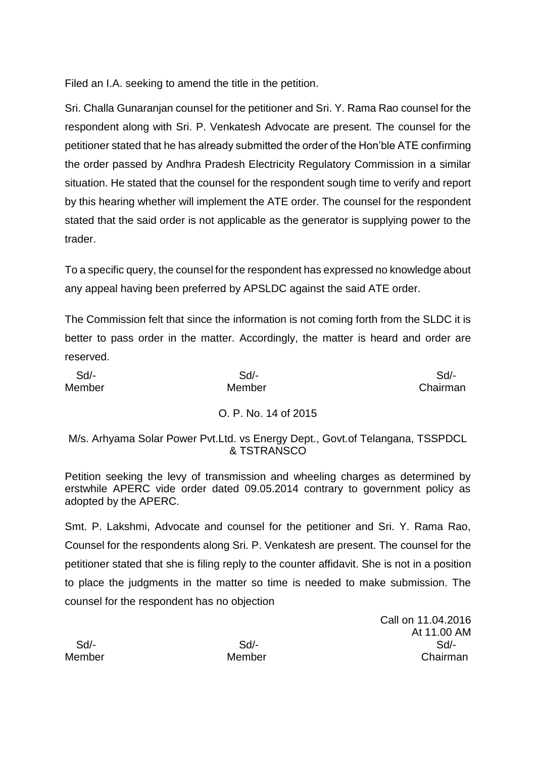Filed an I.A. seeking to amend the title in the petition.

Sri. Challa Gunaranjan counsel for the petitioner and Sri. Y. Rama Rao counsel for the respondent along with Sri. P. Venkatesh Advocate are present. The counsel for the petitioner stated that he has already submitted the order of the Hon'ble ATE confirming the order passed by Andhra Pradesh Electricity Regulatory Commission in a similar situation. He stated that the counsel for the respondent sough time to verify and report by this hearing whether will implement the ATE order. The counsel for the respondent stated that the said order is not applicable as the generator is supplying power to the trader.

To a specific query, the counsel for the respondent has expressed no knowledge about any appeal having been preferred by APSLDC against the said ATE order.

The Commission felt that since the information is not coming forth from the SLDC it is better to pass order in the matter. Accordingly, the matter is heard and order are reserved.

| Sd/-<br>Member | $Sd$ -<br>Member                                                                               | $Sd$ -<br>Chairman |
|----------------|------------------------------------------------------------------------------------------------|--------------------|
|                | O. P. No. 14 of 2015                                                                           |                    |
|                | M/s. Arhyama Solar Power Pvt. Ltd. vs Energy Dept., Govt. of Telangana, TSSPDCL<br>& TSTRANSCO |                    |

Petition seeking the levy of transmission and wheeling charges as determined by erstwhile APERC vide order dated 09.05.2014 contrary to government policy as adopted by the APERC.

Smt. P. Lakshmi, Advocate and counsel for the petitioner and Sri. Y. Rama Rao, Counsel for the respondents along Sri. P. Venkatesh are present. The counsel for the petitioner stated that she is filing reply to the counter affidavit. She is not in a position to place the judgments in the matter so time is needed to make submission. The counsel for the respondent has no objection

Call on 11.04.2016 At 11.00 AM Sd/- Sd/- Sd/- Member Member Chairman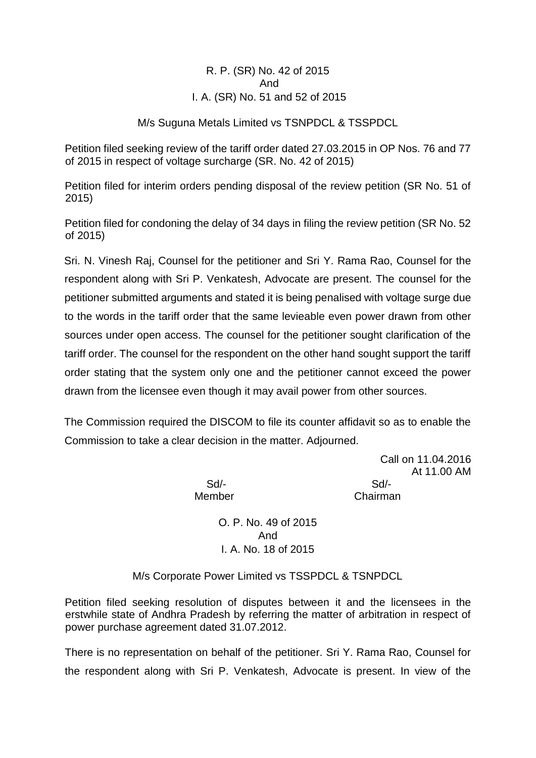R. P. (SR) No. 42 of 2015 And I. A. (SR) No. 51 and 52 of 2015

M/s Suguna Metals Limited vs TSNPDCL & TSSPDCL

Petition filed seeking review of the tariff order dated 27.03.2015 in OP Nos. 76 and 77 of 2015 in respect of voltage surcharge (SR. No. 42 of 2015)

Petition filed for interim orders pending disposal of the review petition (SR No. 51 of 2015)

Petition filed for condoning the delay of 34 days in filing the review petition (SR No. 52 of 2015)

Sri. N. Vinesh Raj, Counsel for the petitioner and Sri Y. Rama Rao, Counsel for the respondent along with Sri P. Venkatesh, Advocate are present. The counsel for the petitioner submitted arguments and stated it is being penalised with voltage surge due to the words in the tariff order that the same levieable even power drawn from other sources under open access. The counsel for the petitioner sought clarification of the tariff order. The counsel for the respondent on the other hand sought support the tariff order stating that the system only one and the petitioner cannot exceed the power drawn from the licensee even though it may avail power from other sources.

The Commission required the DISCOM to file its counter affidavit so as to enable the Commission to take a clear decision in the matter. Adjourned.

> Call on 11.04.2016 At 11.00 AM

 Sd/- Sd/- Member Chairman

> O. P. No. 49 of 2015 And I. A. No. 18 of 2015

M/s Corporate Power Limited vs TSSPDCL & TSNPDCL

Petition filed seeking resolution of disputes between it and the licensees in the erstwhile state of Andhra Pradesh by referring the matter of arbitration in respect of power purchase agreement dated 31.07.2012.

There is no representation on behalf of the petitioner. Sri Y. Rama Rao, Counsel for the respondent along with Sri P. Venkatesh, Advocate is present. In view of the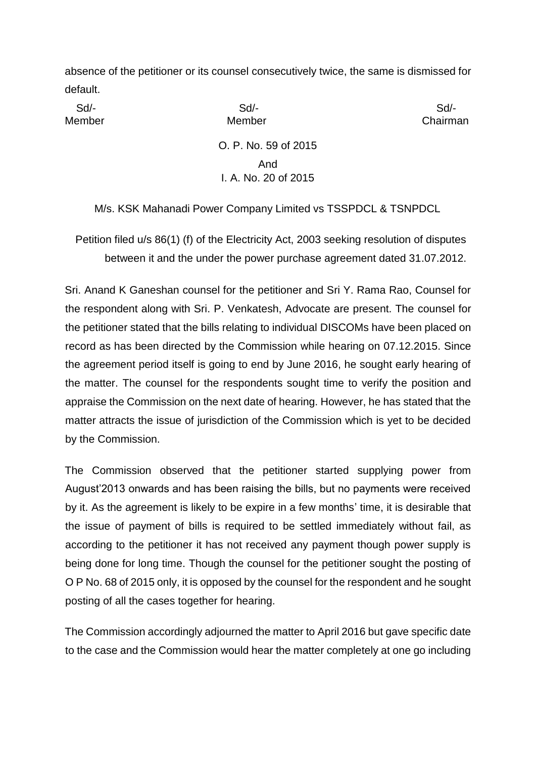absence of the petitioner or its counsel consecutively twice, the same is dismissed for default.

Sd/- Sd/- Sd/-

Member **Member** Member **Chairman** 

O. P. No. 59 of 2015 And I. A. No. 20 of 2015

M/s. KSK Mahanadi Power Company Limited vs TSSPDCL & TSNPDCL

Petition filed u/s 86(1) (f) of the Electricity Act, 2003 seeking resolution of disputes between it and the under the power purchase agreement dated 31.07.2012.

Sri. Anand K Ganeshan counsel for the petitioner and Sri Y. Rama Rao, Counsel for the respondent along with Sri. P. Venkatesh, Advocate are present. The counsel for the petitioner stated that the bills relating to individual DISCOMs have been placed on record as has been directed by the Commission while hearing on 07.12.2015. Since the agreement period itself is going to end by June 2016, he sought early hearing of the matter. The counsel for the respondents sought time to verify the position and appraise the Commission on the next date of hearing. However, he has stated that the matter attracts the issue of jurisdiction of the Commission which is yet to be decided by the Commission.

The Commission observed that the petitioner started supplying power from August'2013 onwards and has been raising the bills, but no payments were received by it. As the agreement is likely to be expire in a few months' time, it is desirable that the issue of payment of bills is required to be settled immediately without fail, as according to the petitioner it has not received any payment though power supply is being done for long time. Though the counsel for the petitioner sought the posting of O P No. 68 of 2015 only, it is opposed by the counsel for the respondent and he sought posting of all the cases together for hearing.

The Commission accordingly adjourned the matter to April 2016 but gave specific date to the case and the Commission would hear the matter completely at one go including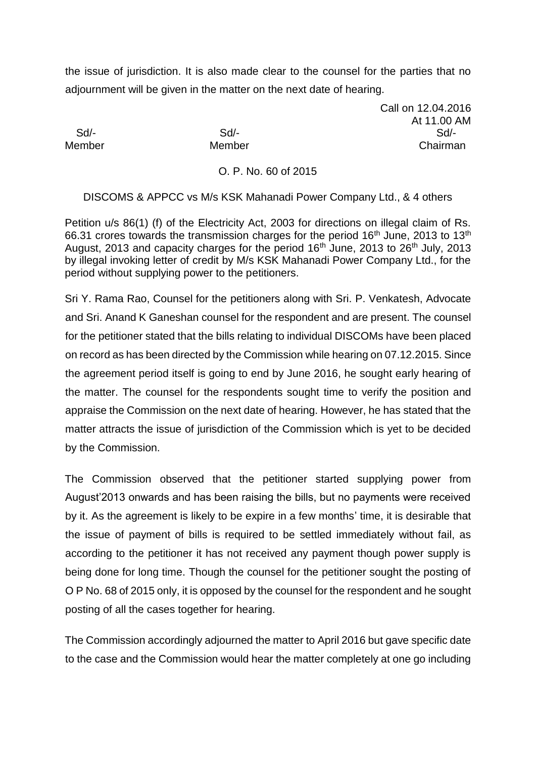the issue of jurisdiction. It is also made clear to the counsel for the parties that no adjournment will be given in the matter on the next date of hearing.

Call on 12.04.2016 At 11.00 AM Sd/- Sd/- Sd/- Member Member Chairman

#### O. P. No. 60 of 2015

DISCOMS & APPCC vs M/s KSK Mahanadi Power Company Ltd., & 4 others

Petition u/s 86(1) (f) of the Electricity Act, 2003 for directions on illegal claim of Rs. 66.31 crores towards the transmission charges for the period  $16<sup>th</sup>$  June, 2013 to  $13<sup>th</sup>$ August, 2013 and capacity charges for the period  $16<sup>th</sup>$  June, 2013 to 26<sup>th</sup> July, 2013 by illegal invoking letter of credit by M/s KSK Mahanadi Power Company Ltd., for the period without supplying power to the petitioners.

Sri Y. Rama Rao, Counsel for the petitioners along with Sri. P. Venkatesh, Advocate and Sri. Anand K Ganeshan counsel for the respondent and are present. The counsel for the petitioner stated that the bills relating to individual DISCOMs have been placed on record as has been directed by the Commission while hearing on 07.12.2015. Since the agreement period itself is going to end by June 2016, he sought early hearing of the matter. The counsel for the respondents sought time to verify the position and appraise the Commission on the next date of hearing. However, he has stated that the matter attracts the issue of jurisdiction of the Commission which is yet to be decided by the Commission.

The Commission observed that the petitioner started supplying power from August'2013 onwards and has been raising the bills, but no payments were received by it. As the agreement is likely to be expire in a few months' time, it is desirable that the issue of payment of bills is required to be settled immediately without fail, as according to the petitioner it has not received any payment though power supply is being done for long time. Though the counsel for the petitioner sought the posting of O P No. 68 of 2015 only, it is opposed by the counsel for the respondent and he sought posting of all the cases together for hearing.

The Commission accordingly adjourned the matter to April 2016 but gave specific date to the case and the Commission would hear the matter completely at one go including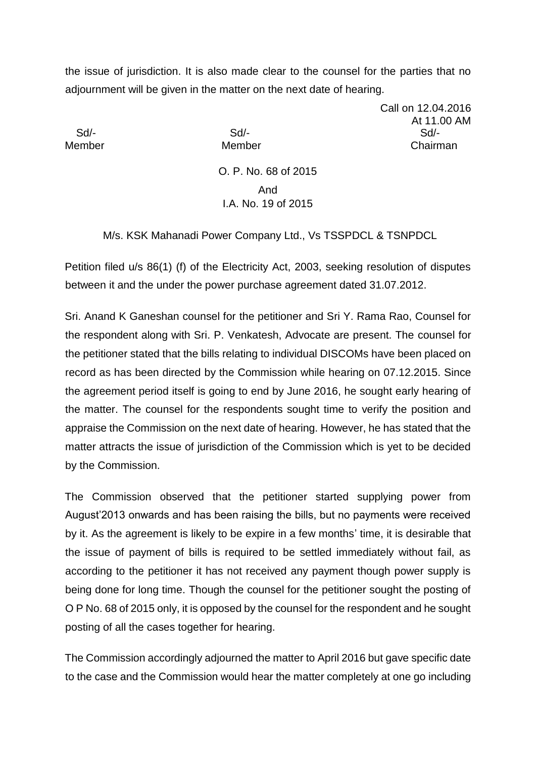the issue of jurisdiction. It is also made clear to the counsel for the parties that no adjournment will be given in the matter on the next date of hearing.

Call on 12.04.2016 At 11.00 AM Sd/- Sd/- Sd/- Member Member Chairman

> O. P. No. 68 of 2015 And I.A. No. 19 of 2015

M/s. KSK Mahanadi Power Company Ltd., Vs TSSPDCL & TSNPDCL

Petition filed u/s 86(1) (f) of the Electricity Act, 2003, seeking resolution of disputes between it and the under the power purchase agreement dated 31.07.2012.

Sri. Anand K Ganeshan counsel for the petitioner and Sri Y. Rama Rao, Counsel for the respondent along with Sri. P. Venkatesh, Advocate are present. The counsel for the petitioner stated that the bills relating to individual DISCOMs have been placed on record as has been directed by the Commission while hearing on 07.12.2015. Since the agreement period itself is going to end by June 2016, he sought early hearing of the matter. The counsel for the respondents sought time to verify the position and appraise the Commission on the next date of hearing. However, he has stated that the matter attracts the issue of jurisdiction of the Commission which is yet to be decided by the Commission.

The Commission observed that the petitioner started supplying power from August'2013 onwards and has been raising the bills, but no payments were received by it. As the agreement is likely to be expire in a few months' time, it is desirable that the issue of payment of bills is required to be settled immediately without fail, as according to the petitioner it has not received any payment though power supply is being done for long time. Though the counsel for the petitioner sought the posting of O P No. 68 of 2015 only, it is opposed by the counsel for the respondent and he sought posting of all the cases together for hearing.

The Commission accordingly adjourned the matter to April 2016 but gave specific date to the case and the Commission would hear the matter completely at one go including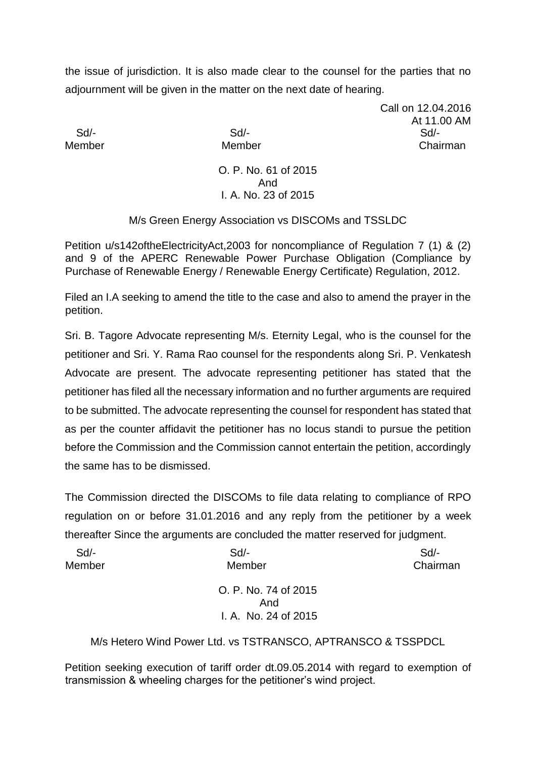the issue of jurisdiction. It is also made clear to the counsel for the parties that no adjournment will be given in the matter on the next date of hearing.

Call on 12.04.2016 At 11.00 AM Sd/- Sd/- Sd/- Member Member Chairman

> O. P. No. 61 of 2015 And I. A. No. 23 of 2015

M/s Green Energy Association vs DISCOMs and TSSLDC

Petition u/s142oftheElectricityAct,2003 for noncompliance of Regulation 7 (1) & (2) and 9 of the APERC Renewable Power Purchase Obligation (Compliance by Purchase of Renewable Energy / Renewable Energy Certificate) Regulation, 2012.

Filed an I.A seeking to amend the title to the case and also to amend the prayer in the petition.

Sri. B. Tagore Advocate representing M/s. Eternity Legal, who is the counsel for the petitioner and Sri. Y. Rama Rao counsel for the respondents along Sri. P. Venkatesh Advocate are present. The advocate representing petitioner has stated that the petitioner has filed all the necessary information and no further arguments are required to be submitted. The advocate representing the counsel for respondent has stated that as per the counter affidavit the petitioner has no locus standi to pursue the petition before the Commission and the Commission cannot entertain the petition, accordingly the same has to be dismissed.

The Commission directed the DISCOMs to file data relating to compliance of RPO regulation on or before 31.01.2016 and any reply from the petitioner by a week thereafter Since the arguments are concluded the matter reserved for judgment.

| Sd/-   | $Sd$ -               | $Sd$ -   |
|--------|----------------------|----------|
| Member | Member               | Chairman |
|        | O. P. No. 74 of 2015 |          |
|        | And                  |          |
|        | I. A. No. 24 of 2015 |          |

M/s Hetero Wind Power Ltd. vs TSTRANSCO, APTRANSCO & TSSPDCL

Petition seeking execution of tariff order dt.09.05.2014 with regard to exemption of transmission & wheeling charges for the petitioner's wind project.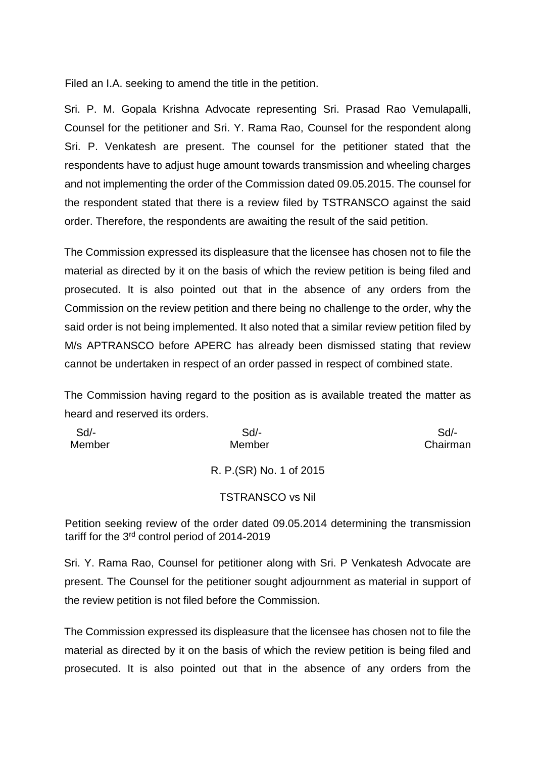Filed an I.A. seeking to amend the title in the petition.

Sri. P. M. Gopala Krishna Advocate representing Sri. Prasad Rao Vemulapalli, Counsel for the petitioner and Sri. Y. Rama Rao, Counsel for the respondent along Sri. P. Venkatesh are present. The counsel for the petitioner stated that the respondents have to adjust huge amount towards transmission and wheeling charges and not implementing the order of the Commission dated 09.05.2015. The counsel for the respondent stated that there is a review filed by TSTRANSCO against the said order. Therefore, the respondents are awaiting the result of the said petition.

The Commission expressed its displeasure that the licensee has chosen not to file the material as directed by it on the basis of which the review petition is being filed and prosecuted. It is also pointed out that in the absence of any orders from the Commission on the review petition and there being no challenge to the order, why the said order is not being implemented. It also noted that a similar review petition filed by M/s APTRANSCO before APERC has already been dismissed stating that review cannot be undertaken in respect of an order passed in respect of combined state.

The Commission having regard to the position as is available treated the matter as heard and reserved its orders.

| $Sd$ - | $Sd$ -                   | Sd       |
|--------|--------------------------|----------|
| Member | Member                   | Chairman |
|        |                          |          |
|        | R. P. (SR) No. 1 of 2015 |          |
|        |                          |          |
|        | <b>TSTRANSCO vs Nil</b>  |          |

Petition seeking review of the order dated 09.05.2014 determining the transmission tariff for the 3rd control period of 2014-2019

Sri. Y. Rama Rao, Counsel for petitioner along with Sri. P Venkatesh Advocate are present. The Counsel for the petitioner sought adjournment as material in support of the review petition is not filed before the Commission.

The Commission expressed its displeasure that the licensee has chosen not to file the material as directed by it on the basis of which the review petition is being filed and prosecuted. It is also pointed out that in the absence of any orders from the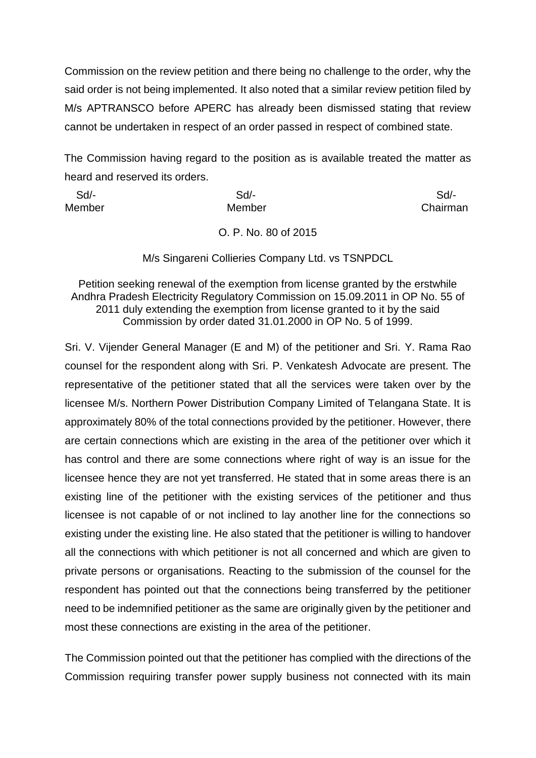Commission on the review petition and there being no challenge to the order, why the said order is not being implemented. It also noted that a similar review petition filed by M/s APTRANSCO before APERC has already been dismissed stating that review cannot be undertaken in respect of an order passed in respect of combined state.

The Commission having regard to the position as is available treated the matter as heard and reserved its orders.

| Sd/-   | Sd     | Sd/-     |
|--------|--------|----------|
| Member | Member | Chairman |
|        |        |          |

O. P. No. 80 of 2015

M/s Singareni Collieries Company Ltd. vs TSNPDCL

Petition seeking renewal of the exemption from license granted by the erstwhile Andhra Pradesh Electricity Regulatory Commission on 15.09.2011 in OP No. 55 of 2011 duly extending the exemption from license granted to it by the said Commission by order dated 31.01.2000 in OP No. 5 of 1999.

Sri. V. Vijender General Manager (E and M) of the petitioner and Sri. Y. Rama Rao counsel for the respondent along with Sri. P. Venkatesh Advocate are present. The representative of the petitioner stated that all the services were taken over by the licensee M/s. Northern Power Distribution Company Limited of Telangana State. It is approximately 80% of the total connections provided by the petitioner. However, there are certain connections which are existing in the area of the petitioner over which it has control and there are some connections where right of way is an issue for the licensee hence they are not yet transferred. He stated that in some areas there is an existing line of the petitioner with the existing services of the petitioner and thus licensee is not capable of or not inclined to lay another line for the connections so existing under the existing line. He also stated that the petitioner is willing to handover all the connections with which petitioner is not all concerned and which are given to private persons or organisations. Reacting to the submission of the counsel for the respondent has pointed out that the connections being transferred by the petitioner need to be indemnified petitioner as the same are originally given by the petitioner and most these connections are existing in the area of the petitioner.

The Commission pointed out that the petitioner has complied with the directions of the Commission requiring transfer power supply business not connected with its main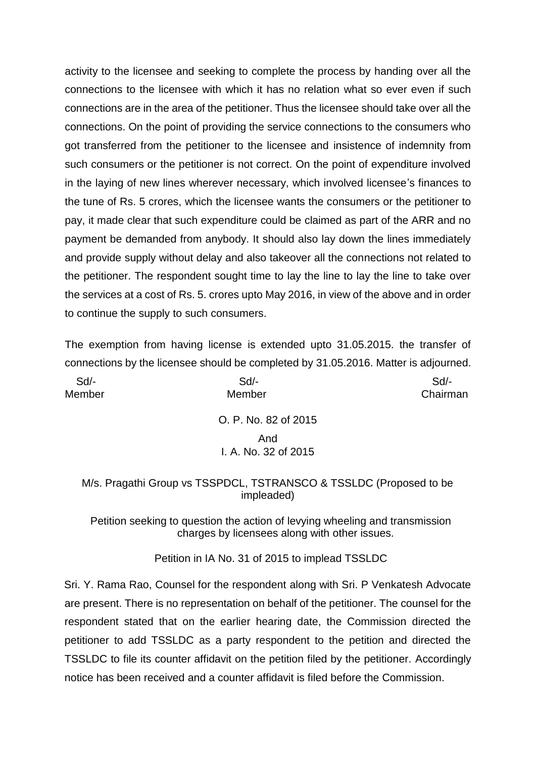activity to the licensee and seeking to complete the process by handing over all the connections to the licensee with which it has no relation what so ever even if such connections are in the area of the petitioner. Thus the licensee should take over all the connections. On the point of providing the service connections to the consumers who got transferred from the petitioner to the licensee and insistence of indemnity from such consumers or the petitioner is not correct. On the point of expenditure involved in the laying of new lines wherever necessary, which involved licensee's finances to the tune of Rs. 5 crores, which the licensee wants the consumers or the petitioner to pay, it made clear that such expenditure could be claimed as part of the ARR and no payment be demanded from anybody. It should also lay down the lines immediately and provide supply without delay and also takeover all the connections not related to the petitioner. The respondent sought time to lay the line to lay the line to take over the services at a cost of Rs. 5. crores upto May 2016, in view of the above and in order to continue the supply to such consumers.

The exemption from having license is extended upto 31.05.2015. the transfer of connections by the licensee should be completed by 31.05.2016. Matter is adjourned.

| Sd/-   | Sd                   | Sd       |
|--------|----------------------|----------|
| Member | Member               | Chairman |
|        | O. P. No. 82 of 2015 |          |
|        | And                  |          |
|        | I. A. No. 32 of 2015 |          |
|        |                      |          |

#### M/s. Pragathi Group vs TSSPDCL, TSTRANSCO & TSSLDC (Proposed to be impleaded)

Petition seeking to question the action of levying wheeling and transmission charges by licensees along with other issues.

Petition in IA No. 31 of 2015 to implead TSSLDC

Sri. Y. Rama Rao, Counsel for the respondent along with Sri. P Venkatesh Advocate are present. There is no representation on behalf of the petitioner. The counsel for the respondent stated that on the earlier hearing date, the Commission directed the petitioner to add TSSLDC as a party respondent to the petition and directed the TSSLDC to file its counter affidavit on the petition filed by the petitioner. Accordingly notice has been received and a counter affidavit is filed before the Commission.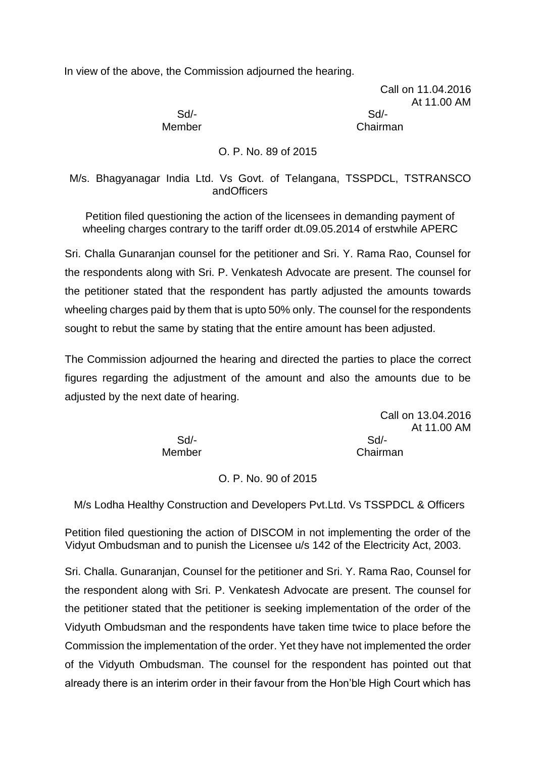In view of the above, the Commission adjourned the hearing.

Call on 11.04.2016 At 11.00 AM

 Sd/- Sd/- Member **Chairman** 

O. P. No. 89 of 2015

M/s. Bhagyanagar India Ltd. Vs Govt. of Telangana, TSSPDCL, TSTRANSCO andOfficers

Petition filed questioning the action of the licensees in demanding payment of wheeling charges contrary to the tariff order dt.09.05.2014 of erstwhile APERC

Sri. Challa Gunaranjan counsel for the petitioner and Sri. Y. Rama Rao, Counsel for the respondents along with Sri. P. Venkatesh Advocate are present. The counsel for the petitioner stated that the respondent has partly adjusted the amounts towards wheeling charges paid by them that is upto 50% only. The counsel for the respondents sought to rebut the same by stating that the entire amount has been adjusted.

The Commission adjourned the hearing and directed the parties to place the correct figures regarding the adjustment of the amount and also the amounts due to be adjusted by the next date of hearing.

> Call on 13.04.2016 At 11.00 AM Member Chairman

Sd/- Sd/-

O. P. No. 90 of 2015

M/s Lodha Healthy Construction and Developers Pvt.Ltd. Vs TSSPDCL & Officers

Petition filed questioning the action of DISCOM in not implementing the order of the Vidyut Ombudsman and to punish the Licensee u/s 142 of the Electricity Act, 2003.

Sri. Challa. Gunaranjan, Counsel for the petitioner and Sri. Y. Rama Rao, Counsel for the respondent along with Sri. P. Venkatesh Advocate are present. The counsel for the petitioner stated that the petitioner is seeking implementation of the order of the Vidyuth Ombudsman and the respondents have taken time twice to place before the Commission the implementation of the order. Yet they have not implemented the order of the Vidyuth Ombudsman. The counsel for the respondent has pointed out that already there is an interim order in their favour from the Hon'ble High Court which has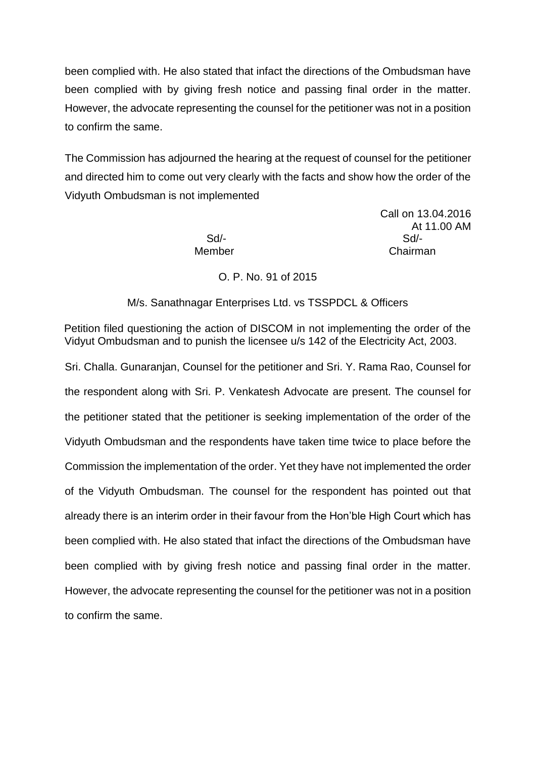been complied with. He also stated that infact the directions of the Ombudsman have been complied with by giving fresh notice and passing final order in the matter. However, the advocate representing the counsel for the petitioner was not in a position to confirm the same.

The Commission has adjourned the hearing at the request of counsel for the petitioner and directed him to come out very clearly with the facts and show how the order of the Vidyuth Ombudsman is not implemented

Call on 13.04.2016 At 11.00 AM Sd/- Sd/- Member **Chairman** 

## O. P. No. 91 of 2015

## M/s. Sanathnagar Enterprises Ltd. vs TSSPDCL & Officers

Petition filed questioning the action of DISCOM in not implementing the order of the Vidyut Ombudsman and to punish the licensee u/s 142 of the Electricity Act, 2003.

Sri. Challa. Gunaranjan, Counsel for the petitioner and Sri. Y. Rama Rao, Counsel for the respondent along with Sri. P. Venkatesh Advocate are present. The counsel for the petitioner stated that the petitioner is seeking implementation of the order of the Vidyuth Ombudsman and the respondents have taken time twice to place before the Commission the implementation of the order. Yet they have not implemented the order of the Vidyuth Ombudsman. The counsel for the respondent has pointed out that already there is an interim order in their favour from the Hon'ble High Court which has been complied with. He also stated that infact the directions of the Ombudsman have been complied with by giving fresh notice and passing final order in the matter. However, the advocate representing the counsel for the petitioner was not in a position to confirm the same.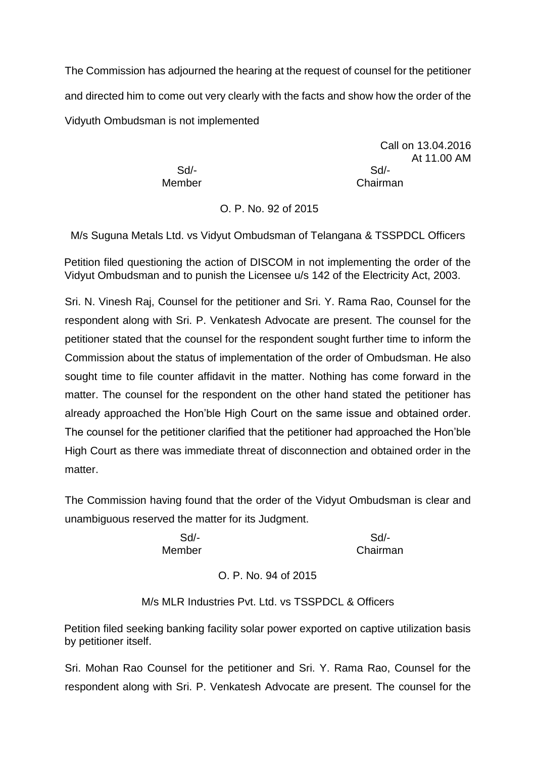The Commission has adjourned the hearing at the request of counsel for the petitioner and directed him to come out very clearly with the facts and show how the order of the Vidyuth Ombudsman is not implemented

 Sd/- Sd/- Member Chairman

Call on 13.04.2016 At 11.00 AM

# O. P. No. 92 of 2015

M/s Suguna Metals Ltd. vs Vidyut Ombudsman of Telangana & TSSPDCL Officers

Petition filed questioning the action of DISCOM in not implementing the order of the Vidyut Ombudsman and to punish the Licensee u/s 142 of the Electricity Act, 2003.

Sri. N. Vinesh Raj, Counsel for the petitioner and Sri. Y. Rama Rao, Counsel for the respondent along with Sri. P. Venkatesh Advocate are present. The counsel for the petitioner stated that the counsel for the respondent sought further time to inform the Commission about the status of implementation of the order of Ombudsman. He also sought time to file counter affidavit in the matter. Nothing has come forward in the matter. The counsel for the respondent on the other hand stated the petitioner has already approached the Hon'ble High Court on the same issue and obtained order. The counsel for the petitioner clarified that the petitioner had approached the Hon'ble High Court as there was immediate threat of disconnection and obtained order in the matter.

The Commission having found that the order of the Vidyut Ombudsman is clear and unambiguous reserved the matter for its Judgment.

 Sd/- Sd/- Member Chairman

# O. P. No. 94 of 2015

M/s MLR Industries Pvt. Ltd. vs TSSPDCL & Officers

Petition filed seeking banking facility solar power exported on captive utilization basis by petitioner itself.

Sri. Mohan Rao Counsel for the petitioner and Sri. Y. Rama Rao, Counsel for the respondent along with Sri. P. Venkatesh Advocate are present. The counsel for the